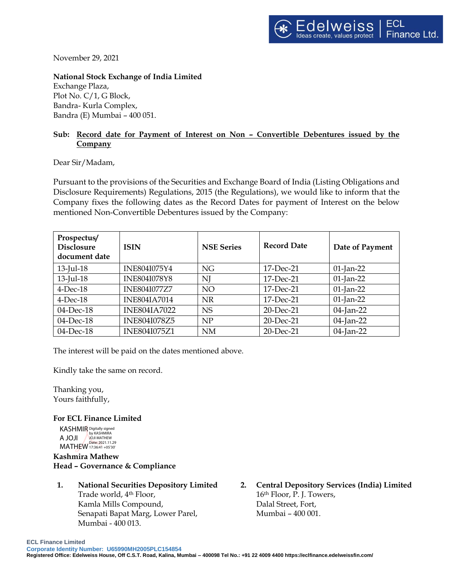November 29, 2021

## **National Stock Exchange of India Limited**

Exchange Plaza, Plot No. C/1, G Block, Bandra- Kurla Complex, Bandra (E) Mumbai – 400 051.

## **Sub: Record date for Payment of Interest on Non – Convertible Debentures issued by the Company**

## Dear Sir/Madam,

Pursuant to the provisions of the Securities and Exchange Board of India (Listing Obligations and Disclosure Requirements) Regulations, 2015 (the Regulations), we would like to inform that the Company fixes the following dates as the Record Dates for payment of Interest on the below mentioned Non-Convertible Debentures issued by the Company:

| Prospectus/<br><b>Disclosure</b><br>document date | <b>ISIN</b>         | <b>NSE Series</b> | <b>Record Date</b> | Date of Payment |
|---------------------------------------------------|---------------------|-------------------|--------------------|-----------------|
| $13$ -Jul-18                                      | INE804I075Y4        | <b>NG</b>         | 17-Dec-21          | $01$ -Jan-22    |
| $13$ -Jul-18                                      | <b>INE804I078Y8</b> | NJ                | 17-Dec-21          | $01$ -Jan-22    |
| $4$ -Dec-18                                       | <b>INE804I077Z7</b> | NO                | 17-Dec-21          | $01$ -Jan-22    |
| $4$ -Dec-18                                       | <b>INE804IA7014</b> | <b>NR</b>         | 17-Dec-21          | $01$ -Jan-22    |
| 04-Dec-18                                         | <b>INE804IA7022</b> | <b>NS</b>         | 20-Dec-21          | 04-Jan-22       |
| 04-Dec-18                                         | <b>INE804I078Z5</b> | NP                | 20-Dec-21          | 04-Jan-22       |
| 04-Dec-18                                         | <b>INE804I075Z1</b> | <b>NM</b>         | 20-Dec-21          | 04-Jan-22       |

The interest will be paid on the dates mentioned above.

Kindly take the same on record.

Thanking you, Yours faithfully,

**For ECL Finance Limited**

KASHMIR Digitally signed A JOJI NATHEW MATHEW 17:36:41 +05'30' by KASHMIRA

**Kashmira Mathew Head – Governance & Compliance**

- **1. National Securities Depository Limited** Trade world, 4th Floor, Kamla Mills Compound, Senapati Bapat Marg, Lower Parel, Mumbai - 400 013.
- **2. Central Depository Services (India) Limited** 16th Floor, P. J. Towers, Dalal Street, Fort, Mumbai – 400 001.